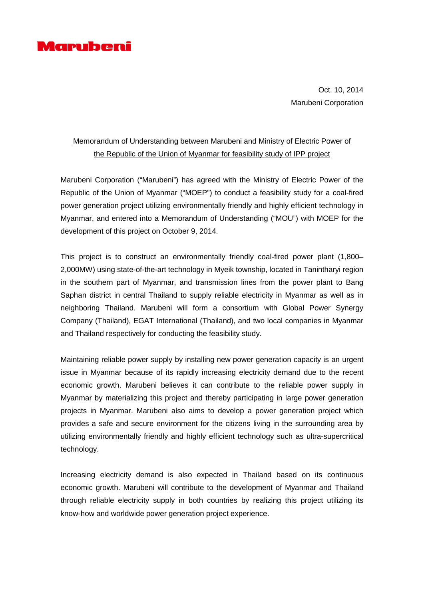

Oct. 10, 2014 Marubeni Corporation

## Memorandum of Understanding between Marubeni and Ministry of Electric Power of the Republic of the Union of Myanmar for feasibility study of IPP project

Marubeni Corporation ("Marubeni") has agreed with the Ministry of Electric Power of the Republic of the Union of Myanmar ("MOEP") to conduct a feasibility study for a coal-fired power generation project utilizing environmentally friendly and highly efficient technology in Myanmar, and entered into a Memorandum of Understanding ("MOU") with MOEP for the development of this project on October 9, 2014.

This project is to construct an environmentally friendly coal-fired power plant (1,800– 2,000MW) using state-of-the-art technology in Myeik township, located in Tanintharyi region in the southern part of Myanmar, and transmission lines from the power plant to Bang Saphan district in central Thailand to supply reliable electricity in Myanmar as well as in neighboring Thailand. Marubeni will form a consortium with Global Power Synergy Company (Thailand), EGAT International (Thailand), and two local companies in Myanmar and Thailand respectively for conducting the feasibility study.

Maintaining reliable power supply by installing new power generation capacity is an urgent issue in Myanmar because of its rapidly increasing electricity demand due to the recent economic growth. Marubeni believes it can contribute to the reliable power supply in Myanmar by materializing this project and thereby participating in large power generation projects in Myanmar. Marubeni also aims to develop a power generation project which provides a safe and secure environment for the citizens living in the surrounding area by utilizing environmentally friendly and highly efficient technology such as ultra-supercritical technology.

Increasing electricity demand is also expected in Thailand based on its continuous economic growth. Marubeni will contribute to the development of Myanmar and Thailand through reliable electricity supply in both countries by realizing this project utilizing its know-how and worldwide power generation project experience.